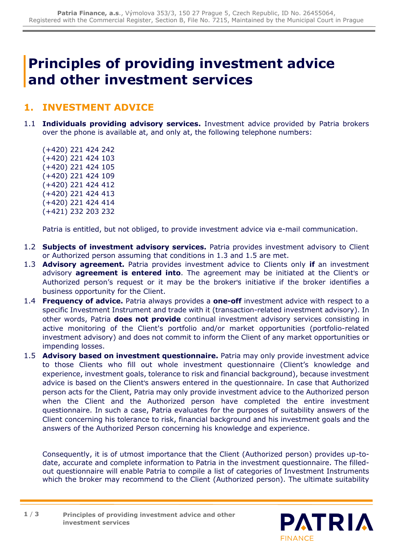## **Principles of providing investment advice and other investment services**

## **1. INVESTMENT ADVICE**

- 1.1 **Individuals providing advisory services.** Investment advice provided by Patria brokers over the phone is available at, and only at, the following telephone numbers:
	- (+420) 221 424 242 (+420) 221 424 103 (+420) 221 424 105 (+420) 221 424 109 (+420) 221 424 412 (+420) 221 424 413 (+420) 221 424 414 (+421) 232 203 232

Patria is entitled, but not obliged, to provide investment advice via e-mail communication.

- 1.2 **Subjects of investment advisory services.** Patria provides investment advisory to Client or Authorized person assuming that conditions in 1.3 and 1.5 are met.
- 1.3 **Advisory agreement.** Patria provides investment advice to Clients only **if** an investment advisory **agreement is entered into**. The agreement may be initiated at the Client's or Authorized person's request or it may be the broker's initiative if the broker identifies a business opportunity for the Client.
- 1.4 **Frequency of advice.** Patria always provides a **one-off** investment advice with respect to a specific Investment Instrument and trade with it (transaction-related investment advisory). In other words, Patria **does not provide** continual investment advisory services consisting in active monitoring of the Client's portfolio and/or market opportunities (portfolio-related investment advisory) and does not commit to inform the Client of any market opportunities or impending losses.
- 1.5 **Advisory based on investment questionnaire.** Patria may only provide investment advice to those Clients who fill out whole investment questionnaire (Client's knowledge and experience, investment goals, tolerance to risk and financial background), because investment advice is based on the Client's answers entered in the questionnaire. In case that Authorized person acts for the Client, Patria may only provide investment advice to the Authorized person when the Client and the Authorized person have completed the entire investment questionnaire. In such a case, Patria evaluates for the purposes of suitability answers of the Client concerning his tolerance to risk, financial background and his investment goals and the answers of the Authorized Person concerning his knowledge and experience.

Consequently, it is of utmost importance that the Client (Authorized person) provides up-todate, accurate and complete information to Patria in the investment questionnaire. The filledout questionnaire will enable Patria to compile a list of categories of Investment Instruments which the broker may recommend to the Client (Authorized person). The ultimate suitability

**Principles of providing investment advice and other investment services 1** / **3**

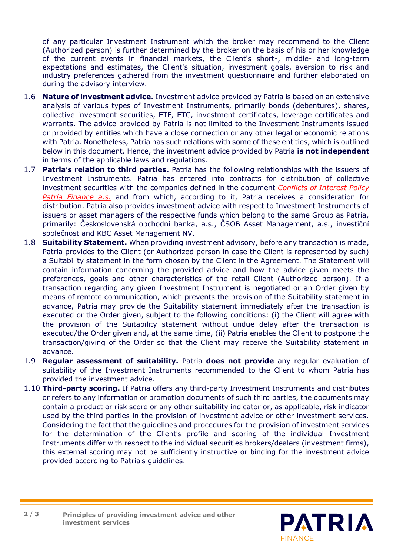of any particular Investment Instrument which the broker may recommend to the Client (Authorized person) is further determined by the broker on the basis of his or her knowledge of the current events in financial markets, the Client's short-, middle- and long-term expectations and estimates, the Client's situation, investment goals, aversion to risk and industry preferences gathered from the investment questionnaire and further elaborated on during the advisory interview.

- 1.6 **Nature of investment advice.** Investment advice provided by Patria is based on an extensive analysis of various types of Investment Instruments, primarily bonds (debentures), shares, collective investment securities, ETF, ETC, investment certificates, leverage certificates and warrants. The advice provided by Patria is not limited to the Investment Instruments issued or provided by entities which have a close connection or any other legal or economic relations with Patria. Nonetheless, Patria has such relations with some of these entities, which is outlined below in this document. Hence, the investment advice provided by Patria **is not independent** in terms of the applicable laws and regulations.
- 1.7 **Patria's relation to third parties.** Patria has the following relationships with the issuers of Investment Instruments. Patria has entered into contracts for distribution of collective investment securities with the companies defined in the document *[Conflicts of Interest Policy](https://cdn.patria.cz/Opatreni-k-omezeni-stretu-zajmu.en.pdf)  [Patria Finance a.s.](https://cdn.patria.cz/Opatreni-k-omezeni-stretu-zajmu.en.pdf)* and from which, according to it, Patria receives a consideration for distribution. Patria also provides investment advice with respect to Investment Instruments of issuers or asset managers of the respective funds which belong to the same Group as Patria, primarily: Československá obchodní banka, a.s., ČSOB Asset Management, a.s., investiční společnost and KBC Asset Management NV.
- 1.8 **Suitability Statement.** When providing investment advisory, before any transaction is made, Patria provides to the Client (or Authorized person in case the Client is represented by such) a Suitability statement in the form chosen by the Client in the Agreement. The Statement will contain information concerning the provided advice and how the advice given meets the preferences, goals and other characteristics of the retail Client (Authorized person). If a transaction regarding any given Investment Instrument is negotiated or an Order given by means of remote communication, which prevents the provision of the Suitability statement in advance, Patria may provide the Suitability statement immediately after the transaction is executed or the Order given, subject to the following conditions: (i) the Client will agree with the provision of the Suitability statement without undue delay after the transaction is executed/the Order given and, at the same time, (ii) Patria enables the Client to postpone the transaction/giving of the Order so that the Client may receive the Suitability statement in advance.
- 1.9 **Regular assessment of suitability.** Patria **does not provide** any regular evaluation of suitability of the Investment Instruments recommended to the Client to whom Patria has provided the investment advice.
- 1.10 **Third-party scoring.** If Patria offers any third-party Investment Instruments and distributes or refers to any information or promotion documents of such third parties, the documents may contain a product or risk score or any other suitability indicator or, as applicable, risk indicator used by the third parties in the provision of investment advice or other investment services. Considering the fact that the guidelines and procedures for the provision of investment services for the determination of the Client's profile and scoring of the individual Investment Instruments differ with respect to the individual securities brokers/dealers (investment firms), this external scoring may not be sufficiently instructive or binding for the investment advice provided according to Patria's guidelines.